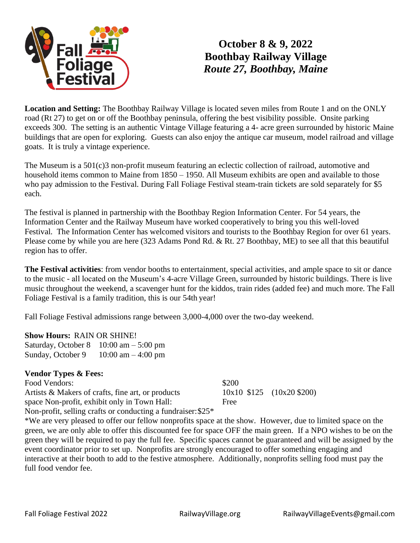

## **October 8 & 9, 2022 Boothbay Railway Village** *Route 27, Boothbay, Maine*

**Location and Setting:** The Boothbay Railway Village is located seven miles from Route 1 and on the ONLY road (Rt 27) to get on or off the Boothbay peninsula, offering the best visibility possible. Onsite parking exceeds 300. The setting is an authentic Vintage Village featuring a 4- acre green surrounded by historic Maine buildings that are open for exploring. Guests can also enjoy the antique car museum, model railroad and village goats. It is truly a vintage experience.

The Museum is a 501(c)3 non-profit museum featuring an eclectic collection of railroad, automotive and household items common to Maine from 1850 – 1950. All Museum exhibits are open and available to those who pay admission to the Festival. During Fall Foliage Festival steam-train tickets are sold separately for \$5 each.

The festival is planned in partnership with the Boothbay Region Information Center. For 54 years, the Information Center and the Railway Museum have worked cooperatively to bring you this well-loved Festival. The Information Center has welcomed visitors and tourists to the Boothbay Region for over 61 years. Please come by while you are here (323 Adams Pond Rd. & Rt. 27 Boothbay, ME) to see all that this beautiful region has to offer.

**The Festival activities**: from vendor booths to entertainment, special activities, and ample space to sit or dance to the music - all located on the Museum's 4-acre Village Green, surrounded by historic buildings. There is live music throughout the weekend, a scavenger hunt for the kiddos, train rides (added fee) and much more. The Fall Foliage Festival is a family tradition, this is our 54th year!

Fall Foliage Festival admissions range between 3,000-4,000 over the two-day weekend.

## **Show Hours:** RAIN OR SHINE!

Saturday, October  $8 \quad 10:00 \text{ am} - 5:00 \text{ pm}$ Sunday, October 9  $10:00 \text{ am} - 4:00 \text{ pm}$ 

## **Vendor Types & Fees:**

| Food Vendors:                                                             | \$200 |                               |
|---------------------------------------------------------------------------|-------|-------------------------------|
| Artists & Makers of crafts, fine art, or products                         |       | $10x10$ \$125 $(10x20$ \$200) |
| space Non-profit, exhibit only in Town Hall:                              | Free  |                               |
| Non-profit, selling crafts or conducting a fundraiser: $$25$ <sup>*</sup> |       |                               |

\*We are very pleased to offer our fellow nonprofits space at the show. However, due to limited space on the green, we are only able to offer this discounted fee for space OFF the main green. If a NPO wishes to be on the green they will be required to pay the full fee. Specific spaces cannot be guaranteed and will be assigned by the event coordinator prior to set up. Nonprofits are strongly encouraged to offer something engaging and interactive at their booth to add to the festive atmosphere. Additionally, nonprofits selling food must pay the full food vendor fee.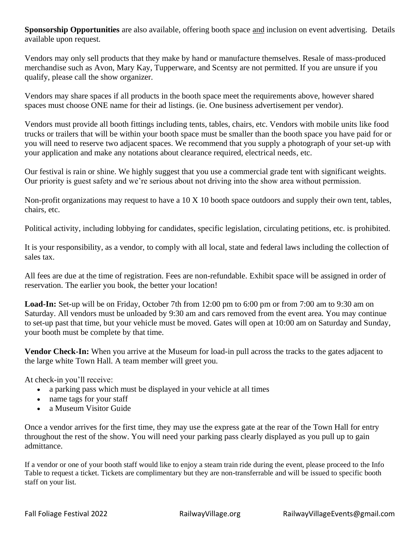**Sponsorship Opportunities** are also available, offering booth space and inclusion on event advertising. Details available upon request.

Vendors may only sell products that they make by hand or manufacture themselves. Resale of mass-produced merchandise such as Avon, Mary Kay, Tupperware, and Scentsy are not permitted. If you are unsure if you qualify, please call the show organizer.

Vendors may share spaces if all products in the booth space meet the requirements above, however shared spaces must choose ONE name for their ad listings. (ie. One business advertisement per vendor).

Vendors must provide all booth fittings including tents, tables, chairs, etc. Vendors with mobile units like food trucks or trailers that will be within your booth space must be smaller than the booth space you have paid for or you will need to reserve two adjacent spaces. We recommend that you supply a photograph of your set-up with your application and make any notations about clearance required, electrical needs, etc.

Our festival is rain or shine. We highly suggest that you use a commercial grade tent with significant weights. Our priority is guest safety and we're serious about not driving into the show area without permission.

Non-profit organizations may request to have a 10 X 10 booth space outdoors and supply their own tent, tables, chairs, etc.

Political activity, including lobbying for candidates, specific legislation, circulating petitions, etc. is prohibited.

It is your responsibility, as a vendor, to comply with all local, state and federal laws including the collection of sales tax.

All fees are due at the time of registration. Fees are non-refundable. Exhibit space will be assigned in order of reservation. The earlier you book, the better your location!

**Load-In:** Set-up will be on Friday, October 7th from 12:00 pm to 6:00 pm or from 7:00 am to 9:30 am on Saturday. All vendors must be unloaded by 9:30 am and cars removed from the event area. You may continue to set-up past that time, but your vehicle must be moved. Gates will open at 10:00 am on Saturday and Sunday, your booth must be complete by that time.

**Vendor Check-In:** When you arrive at the Museum for load-in pull across the tracks to the gates adjacent to the large white Town Hall. A team member will greet you.

At check-in you'll receive:

- a parking pass which must be displayed in your vehicle at all times
- name tags for your staff
- a Museum Visitor Guide

Once a vendor arrives for the first time, they may use the express gate at the rear of the Town Hall for entry throughout the rest of the show. You will need your parking pass clearly displayed as you pull up to gain admittance.

If a vendor or one of your booth staff would like to enjoy a steam train ride during the event, please proceed to the Info Table to request a ticket. Tickets are complimentary but they are non-transferrable and will be issued to specific booth staff on your list.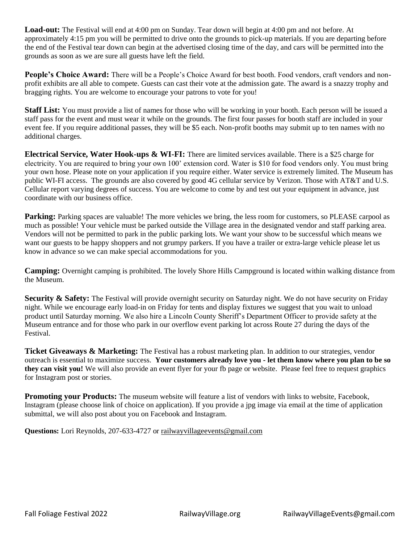**Load-out:** The Festival will end at 4:00 pm on Sunday. Tear down will begin at 4:00 pm and not before. At approximately 4:15 pm you will be permitted to drive onto the grounds to pick-up materials. If you are departing before the end of the Festival tear down can begin at the advertised closing time of the day, and cars will be permitted into the grounds as soon as we are sure all guests have left the field.

**People's Choice Award:** There will be a People's Choice Award for best booth. Food vendors, craft vendors and nonprofit exhibits are all able to compete. Guests can cast their vote at the admission gate. The award is a snazzy trophy and bragging rights. You are welcome to encourage your patrons to vote for you!

**Staff List:** You must provide a list of names for those who will be working in your booth. Each person will be issued a staff pass for the event and must wear it while on the grounds. The first four passes for booth staff are included in your event fee. If you require additional passes, they will be \$5 each. Non-profit booths may submit up to ten names with no additional charges.

**Electrical Service, Water Hook-ups & WI-FI:** There are limited services available. There is a \$25 charge for electricity. You are required to bring your own 100' extension cord. Water is \$10 for food vendors only. You must bring your own hose. Please note on your application if you require either. Water service is extremely limited. The Museum has public WI-FI access. The grounds are also covered by good 4G cellular service by Verizon. Those with AT&T and U.S. Cellular report varying degrees of success. You are welcome to come by and test out your equipment in advance, just coordinate with our business office.

**Parking:** Parking spaces are valuable! The more vehicles we bring, the less room for customers, so PLEASE carpool as much as possible! Your vehicle must be parked outside the Village area in the designated vendor and staff parking area. Vendors will not be permitted to park in the public parking lots. We want your show to be successful which means we want our guests to be happy shoppers and not grumpy parkers. If you have a trailer or extra-large vehicle please let us know in advance so we can make special accommodations for you.

**Camping:** Overnight camping is prohibited. The lovely Shore Hills Campground is located within walking distance from the Museum.

**Security & Safety:** The Festival will provide overnight security on Saturday night. We do not have security on Friday night. While we encourage early load-in on Friday for tents and display fixtures we suggest that you wait to unload product until Saturday morning. We also hire a Lincoln County Sheriff's Department Officer to provide safety at the Museum entrance and for those who park in our overflow event parking lot across Route 27 during the days of the Festival.

**Ticket Giveaways & Marketing:** The Festival has a robust marketing plan. In addition to our strategies, vendor outreach is essential to maximize success. **Your customers already love you - let them know where you plan to be so they can visit you!** We will also provide an event flyer for your fb page or website. Please feel free to request graphics for Instagram post or stories.

**Promoting your Products:** The museum website will feature a list of vendors with links to website, Facebook, Instagram (please choose link of choice on application). If you provide a jpg image via email at the time of application submittal, we will also post about you on Facebook and Instagram.

**Questions:** Lori Reynolds, 207-633-4727 or railwayvillageevents@gmail.com